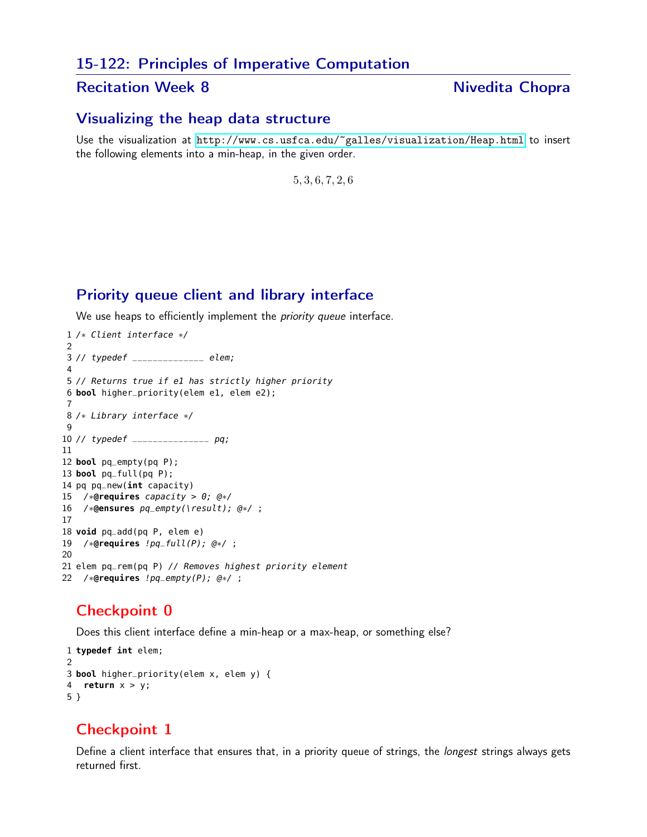#### 15-122: Principles of Imperative Computation

#### Recitation Week 8 Nivedita Chopra

#### Visualizing the heap data structure

Use the visualization at <http://www.cs.usfca.edu/~galles/visualization/Heap.html> to insert the following elements into a min-heap, in the given order.

, 3, 6, 7, 2, 6

### Priority queue client and library interface

We use heaps to efficiently implement the *priority queue* interface.

```
1 /∗ Client interface ∗/
 2
3 // typedef ______________ elem;
4
5 // Returns true if e1 has strictly higher priority
6 bool higher_priority(elem e1, elem e2);
7
8 /∗ Library interface ∗/
9
10 // typedef _______________ pq;
11
12 bool pq_empty(pq P);
13 bool pq_full(pq P);
14 pq pq_new(int capacity)
15 /∗@requires capacity > 0; @∗/
16 /∗@ensures pq_empty(\result); @∗/ ;
17
18 void pq_add(pq P, elem e)
19 /∗@requires !pq_full(P); @∗/ ;
20
21 elem pq_rem(pq P) // Removes highest priority element
22 /∗@requires !pq_empty(P); @∗/ ;
```
# Checkpoint 0

Does this client interface define a min-heap or a max-heap, or something else?

```
1 typedef int elem;
2
3 bool higher_priority(elem x, elem y) {
4 return x > y;
5 }
```
# Checkpoint 1

Define a client interface that ensures that, in a priority queue of strings, the *longest* strings always gets returned first.